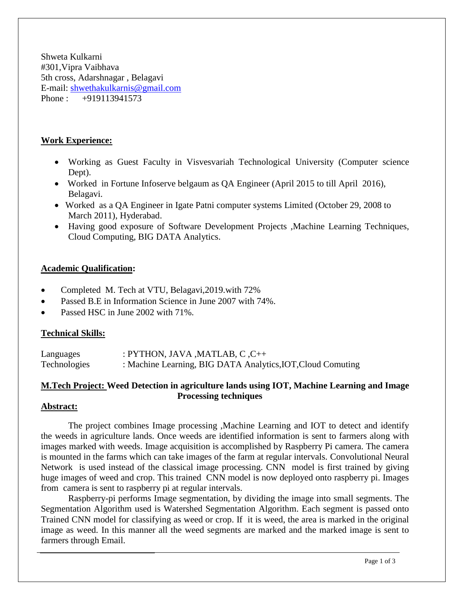Shweta Kulkarni #301,Vipra Vaibhava 5th cross, Adarshnagar , Belagavi E-mail: [shwethakulkarnis@gmail.com](mailto:shwethakulkarnis@gmail.com) Phone : +919113941573

### **Work Experience:**

- Working as Guest Faculty in Visvesvariah Technological University (Computer science Dept).
- Worked in Fortune Infoserve belgaum as QA Engineer (April 2015 to till April 2016), Belagavi.
- Worked as a QA Engineer in Igate Patni computer systems Limited (October 29, 2008 to March 2011), Hyderabad.
- Having good exposure of Software Development Projects ,Machine Learning Techniques, Cloud Computing, BIG DATA Analytics.

### **Academic Qualification:**

- Completed M. Tech at VTU, Belagavi,2019.with 72%
- Passed B.E in Information Science in June 2007 with 74%.
- Passed HSC in June 2002 with 71%.

### **Technical Skills:**

| Languages           | : PYTHON, JAVA , MATLAB, C, $C_{++}$                        |
|---------------------|-------------------------------------------------------------|
| <b>Technologies</b> | : Machine Learning, BIG DATA Analytics, IOT, Cloud Comuting |

# **M.Tech Project: Weed Detection in agriculture lands using IOT, Machine Learning and Image Processing techniques**

### **Abstract:**

The project combines Image processing ,Machine Learning and IOT to detect and identify the weeds in agriculture lands. Once weeds are identified information is sent to farmers along with images marked with weeds. Image acquisition is accomplished by Raspberry Pi camera. The camera is mounted in the farms which can take images of the farm at regular intervals. Convolutional Neural Network is used instead of the classical image processing. CNN model is first trained by giving huge images of weed and crop. This trained CNN model is now deployed onto raspberry pi. Images from camera is sent to raspberry pi at regular intervals.

Raspberry-pi performs Image segmentation, by dividing the image into small segments. The Segmentation Algorithm used is Watershed Segmentation Algorithm. Each segment is passed onto Trained CNN model for classifying as weed or crop. If it is weed, the area is marked in the original image as weed. In this manner all the weed segments are marked and the marked image is sent to farmers through Email.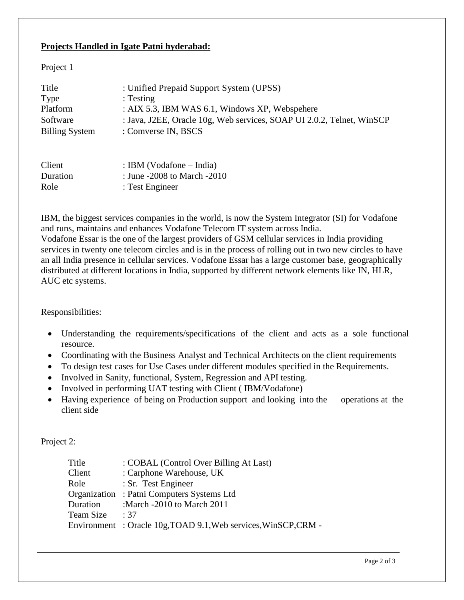## **Projects Handled in Igate Patni hyderabad:**

### Project 1

| Title                 | : Unified Prepaid Support System (UPSS)                               |
|-----------------------|-----------------------------------------------------------------------|
| Type                  | : Testing                                                             |
| Platform              | : AIX 5.3, IBM WAS 6.1, Windows XP, Webspehere                        |
| Software              | : Java, J2EE, Oracle 10g, Web services, SOAP UI 2.0.2, Telnet, WinSCP |
| <b>Billing System</b> | : Comverse IN, BSCS                                                   |
| Client                | : IBM (Vodafone – India)                                              |

| <b>UTHAIR</b> | $\mathbf{L}$ Divi $\mathbf{V}$ volatoric $\mathbf{V}$ - findra) |
|---------------|-----------------------------------------------------------------|
| Duration      | : June -2008 to March -2010                                     |
| Role          | : Test Engineer                                                 |

IBM, the biggest services companies in the world, is now the System Integrator (SI) for Vodafone and runs, maintains and enhances Vodafone Telecom IT system across India. Vodafone Essar is the one of the largest providers of GSM cellular services in India providing services in twenty one telecom circles and is in the process of rolling out in two new circles to have an all India presence in cellular services. Vodafone Essar has a large customer base, geographically distributed at different locations in India, supported by different network elements like IN, HLR, AUC etc systems.

Responsibilities:

- Understanding the requirements/specifications of the client and acts as a sole functional resource.
- Coordinating with the Business Analyst and Technical Architects on the client requirements
- To design test cases for Use Cases under different modules specified in the Requirements.
- Involved in Sanity, functional, System, Regression and API testing.
- Involved in performing UAT testing with Client (IBM/Vodafone)
- Having experience of being on Production support and looking into the operations at the client side

Project 2:

| Title     | : COBAL (Control Over Billing At Last)                         |
|-----------|----------------------------------------------------------------|
| Client    | : Carphone Warehouse, UK                                       |
| Role      | : Sr. Test Engineer                                            |
|           | Organization: Patni Computers Systems Ltd                      |
| Duration  | :March -2010 to March 2011                                     |
| Team Size | $\therefore$ 37                                                |
|           | Environment: Oracle 10g, TOAD 9.1, Web services, WinSCP, CRM - |